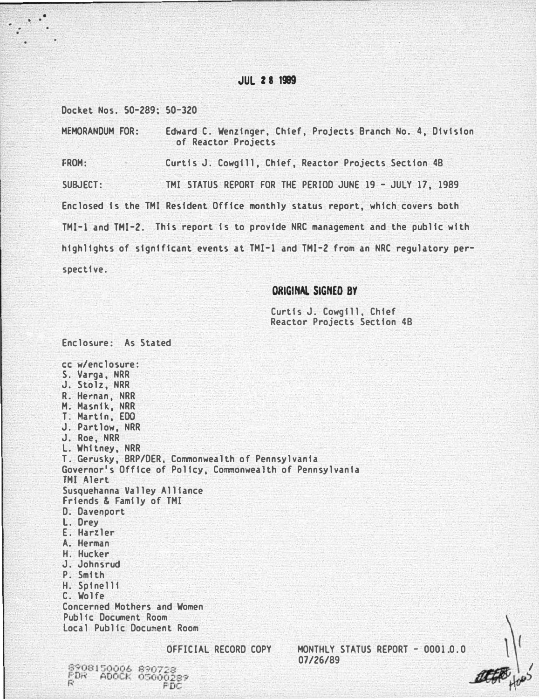# JUL 2 8 1989

Docket Nos. 50-289; 50-320

Enclosure: As Stated

8908150006 8907 FDR ADOCK 0500

:

MEMORANDUM FOR: Edward C. Wenzinger, Chief, Projects Branch No. 4, Division of Reactor Projects

FROM: Curtis J. Cowgill, Chief, Reactor Projects Section 4B SUBJECT: TMI STATUS REPORT FOR THE PERIOD JUNE 19 - JULY 17, 1989 Enclosed is the TMI Resident Office monthly status report, which covers both TMI-1 and THI-2. This report is to provide NRC management and the public with highlights of significant events at TMI-1 and THI-2 from an NRC regulatory perspective.

# ORIGINAL SIGNED BY

Curtis J. Cowgill. Chief Reactor Projects Section 4B

cc w/enclosure: S. Varga, NRR J. Stolz, NRR R. Hernan, NRR H. Masnik, NRR T: Martin, EOO J. Partlow, NRR J. Roe, NRR L. Whitney, NRR T. Gerusky, BRP/DER. Commonwealth of Pennsylvania Governor's Office of Policy, Commonwealth of Pennsylvania TMI Alert Susquehanna Valley Alliance Friends & Family of THI D. Davenport L. Drey E. Harzler A. Herman H. Hucker J. Johnsrud P. Smith H. Spinelli C. Wolfe Concerned Mothers and Women Publfc Document Room local Public Document Room

OFFICIAL RECORD COPY MONTHLY STATUS REPORT - 0001.0.0 07/26/89

 $\frac{1}{2}$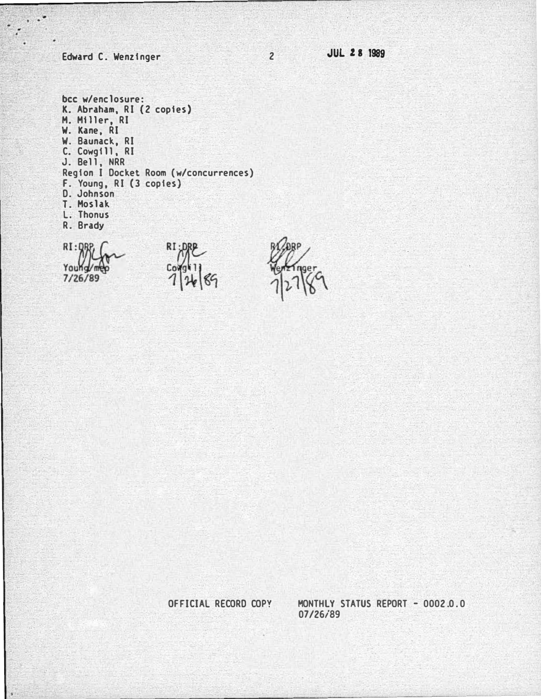Edward C. Wenzinger

2 JUL 28 1989

bee w/enclosure: K. Abraham, RI (2 copies) H. Hiller, RI W. Kane, RI W. Baunack, RI C. Cowgill, RI J. Bell, NRR Region I Docket Room (w/concurrences) F. Young, RI (3 copies) D. Johnson T. Hos lak L. Thonus R. Brady

RI:DR  $\sim$ Young 7/26/89

RI:DRI Coi

 $00$ 

OFFICIAL RECORD COPY

MONTHLY STATUS REPORT - 0002.0.0 07/26/89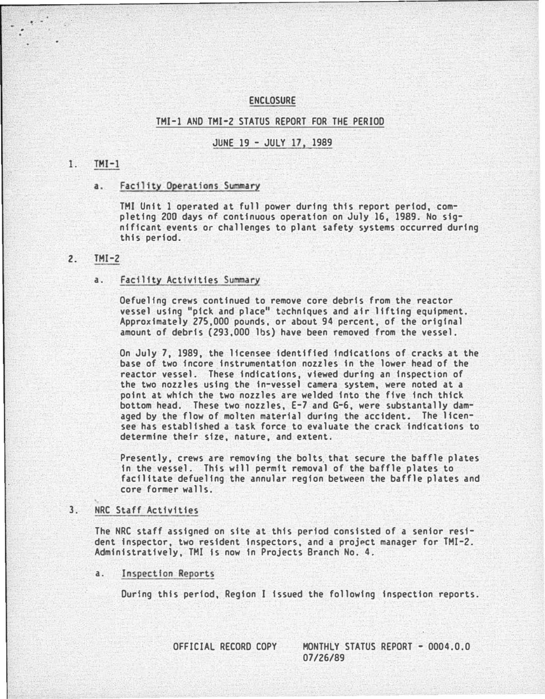### ENCLOSURE

#### THI-1 AND THI-2 STATUS REPORT FOR THE PERIOD

### JUNE 19 - JULY 17, 1989

#### $1$ .  $TMI-1$

. .

#### a. Facility Operations Summary

THI Unit 1 operated at full power during this report period, completing ZOO days of continuous operation on July 16, 1989. No significant events or challenges to plant safety systems occurred during this period.

#### Z. THI-2

#### a. Facility Activities Summary

Oefuelfng crews continued to remove core debris from the reactor vessel using "pick and place" techniques and air lifting equipment. Approximately 275,000 pounds, or about 94 percent, of the original amount of debris (293,000 lbs) have been removed from the vessel.

On July 7, 1989, the licensee identified indications of cracks at the base of two 1ncore instrumentation nozzles in the lower head of the reactor vessel. These indications, viewed during an inspection of the two nozzles using the in-vessel camera system, were noted at a point at which the two nozzles are welded into the five inch thick bottom head. These two nozzles, E-7 and G-6, were substantally damaged by the flow of molten material during the accident. The licensee has established a task force to evaluate the crack indications to determine their size, nature, and extent.

Presently, crews are removing the bolts that secure the baffle plates In the vessel. This will permit removal of the baffle plates to facilitate defueling the annular region between the baffle plates and core former walls.

# 3. NRC Staff Activities

The NRC staff assigned on site at this period consisted of a senior resident Inspector, two resident inspectors, and a project manager for THI-Z. Administratively, TMI Is now In Projects Branch No. 4.

a. Inspection Reports

During thfs period, Region I issued the following inspection reports.

OFFICIAL RECORD COPY MONTHLY STATUS REPORT - 0004.0.0 07/26/89